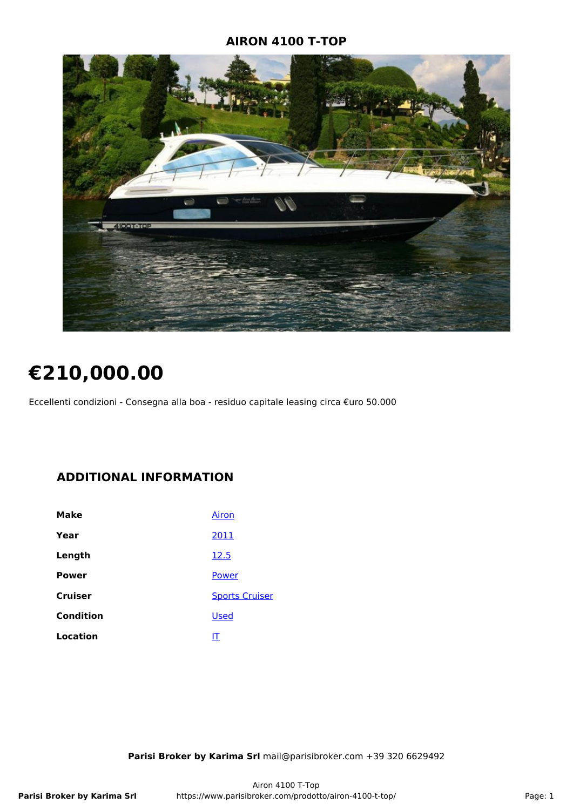## **AIRON 4100 T-TOP**



# **€210,000.00**

Eccellenti condizioni - Consegna alla boa - residuo capitale leasing circa €uro 50.000

# **ADDITIONAL INFORMATION**

| <b>Make</b>      | <b>Airon</b>          |
|------------------|-----------------------|
| Year             | 2011                  |
| Length           | <u>12.5</u>           |
| <b>Power</b>     | Power                 |
| <b>Cruiser</b>   | <b>Sports Cruiser</b> |
| <b>Condition</b> | <b>Used</b>           |
| Location         | IT                    |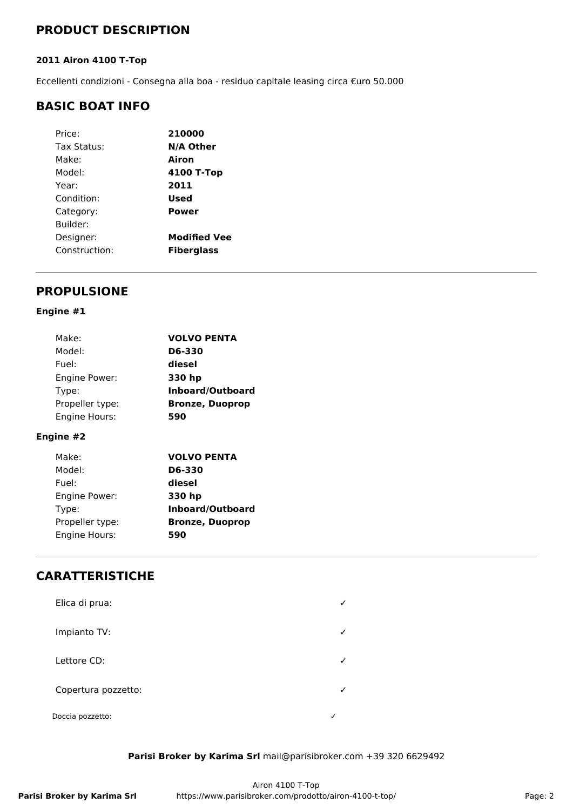# **PRODUCT DESCRIPTION**

## **2011 Airon 4100 T-Top**

Eccellenti condizioni - Consegna alla boa - residuo capitale leasing circa €uro 50.000

# **BASIC BOAT INFO**

| Price:        | 210000              |
|---------------|---------------------|
| Tax Status:   | N/A Other           |
| Make:         | Airon               |
| Model:        | 4100 T-Top          |
| Year:         | 2011                |
| Condition:    | <b>Used</b>         |
| Category:     | Power               |
| Builder:      |                     |
| Designer:     | <b>Modified Vee</b> |
| Construction: | <b>Fiberglass</b>   |
|               |                     |

## **PROPULSIONE**

## **Engine #1**

| Make:           | <b>VOLVO PENTA</b>     |
|-----------------|------------------------|
| Model:          | D6-330                 |
| Fuel:           | diesel                 |
| Engine Power:   | 330 hp                 |
| Type:           | Inboard/Outboard       |
| Propeller type: | <b>Bronze, Duoprop</b> |
| Engine Hours:   | 590                    |
|                 |                        |

## **Engine #2**

| Make:           | <b>VOLVO PENTA</b>     |
|-----------------|------------------------|
| Model:          | D6-330                 |
| Fuel:           | diesel                 |
| Engine Power:   | 330 hp                 |
| Type:           | Inboard/Outboard       |
| Propeller type: | <b>Bronze, Duoprop</b> |
| Engine Hours:   | 590                    |
|                 |                        |

## **CARATTERISTICHE**

| Elica di prua:      |   |
|---------------------|---|
| Impianto TV:        |   |
| Lettore CD:         |   |
| Copertura pozzetto: |   |
| Doccia pozzetto:    | ✓ |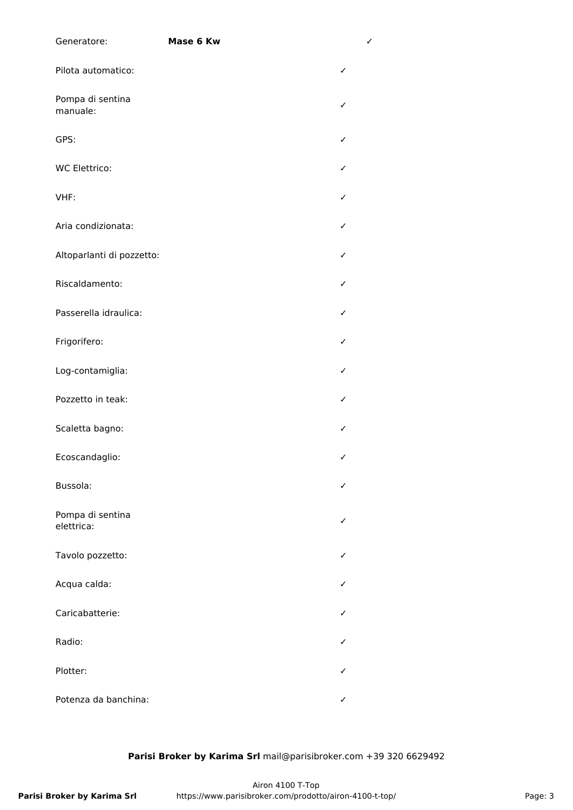| Generatore:                    | Mase 6 Kw | ✓ |
|--------------------------------|-----------|---|
| Pilota automatico:             |           | ✓ |
| Pompa di sentina<br>manuale:   |           | ✓ |
| GPS:                           |           | ✓ |
| <b>WC Elettrico:</b>           |           | ✓ |
| VHF:                           |           | ✓ |
| Aria condizionata:             |           | ✓ |
| Altoparlanti di pozzetto:      |           | ✓ |
| Riscaldamento:                 |           | ✓ |
| Passerella idraulica:          |           | ✓ |
| Frigorifero:                   |           | ✓ |
| Log-contamiglia:               |           | ✓ |
| Pozzetto in teak:              |           | ✓ |
| Scaletta bagno:                |           | ✓ |
| Ecoscandaglio:                 |           | ✓ |
| Bussola:                       |           | ✓ |
| Pompa di sentina<br>elettrica: |           |   |
| Tavolo pozzetto:               |           |   |
| Acqua calda:                   |           |   |
| Caricabatterie:                |           |   |
| Radio:                         |           |   |
| Plotter:                       |           |   |
| Potenza da banchina:           |           | ✓ |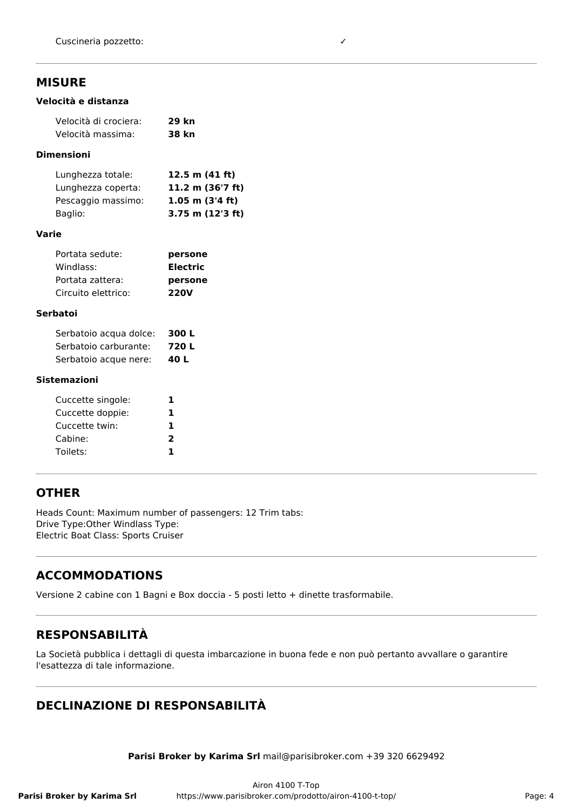# **MISURE**

## **Velocità e distanza**

| Velocità di crociera: | 29 kn |
|-----------------------|-------|
| Velocità massima:     | 38 kn |

## **Dimensioni**

| Lunghezza totale:  | 12.5 m $(41 ft)$     |
|--------------------|----------------------|
| Lunghezza coperta: | 11.2 m $(36'7 ft)$   |
| Pescaggio massimo: | 1.05 m $(3'4 ft)$    |
| Baglio:            | $3.75$ m $(12'3$ ft) |

## **Varie**

| Portata sedute:     | persone     |
|---------------------|-------------|
| Windlass:           | Electric    |
| Portata zattera:    | persone     |
| Circuito elettrico: | <b>220V</b> |

#### **Serbatoi**

| Serbatoio acqua dolce: | 300 L |
|------------------------|-------|
| Serbatoio carburante:  | 720 L |
| Serbatoio acque nere:  | 40 L  |

## **Sistemazioni**

| Cuccette singole: | 1. |
|-------------------|----|
| Cuccette doppie:  | Ъ  |
| Cuccette twin:    | Т. |
| Cabine:           | 2  |
| Toilets:          | Т. |

## **OTHER**

Heads Count: Maximum number of passengers: 12 Trim tabs: Drive Type:Other Windlass Type: Electric Boat Class: Sports Cruiser

# **ACCOMMODATIONS**

Versione 2 cabine con 1 Bagni e Box doccia - 5 posti letto + dinette trasformabile.

## **RESPONSABILITÀ**

La Società pubblica i dettagli di questa imbarcazione in buona fede e non può pertanto avvallare o garantire l'esattezza di tale informazione.

# **DECLINAZIONE DI RESPONSABILITÀ**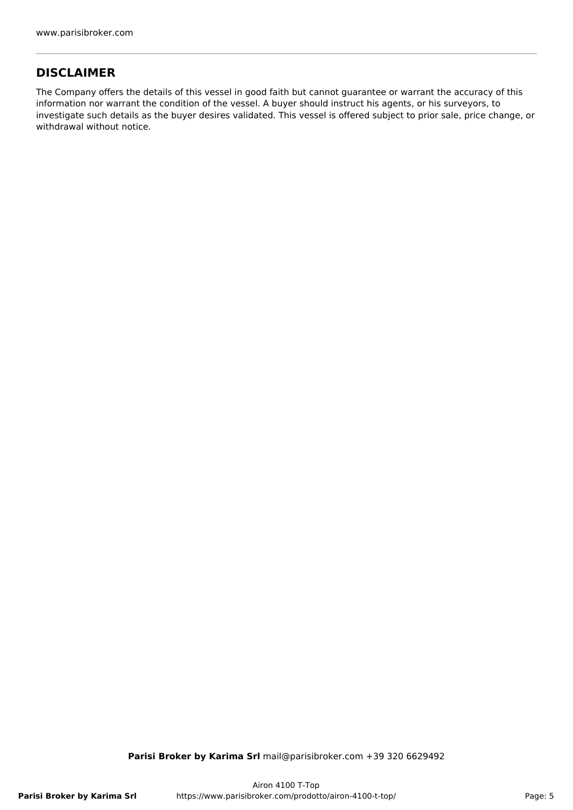## **DISCLAIMER**

The Company offers the details of this vessel in good faith but cannot guarantee or warrant the accuracy of this information nor warrant the condition of the vessel. A buyer should instruct his agents, or his surveyors, to investigate such details as the buyer desires validated. This vessel is offered subject to prior sale, price change, or withdrawal without notice.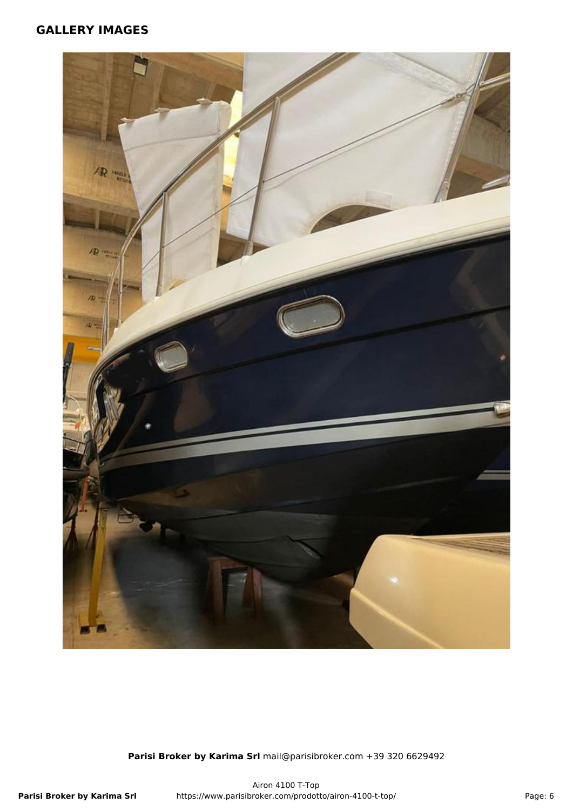# **GALLERY IMAGES**

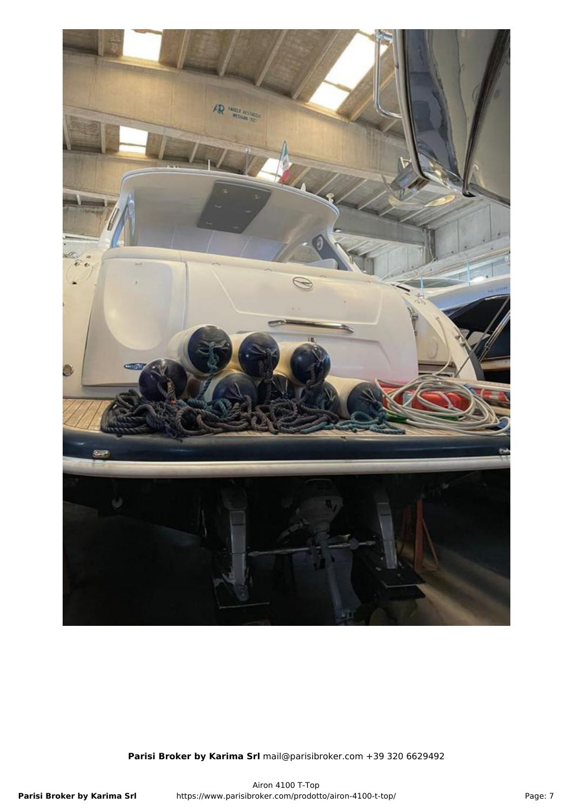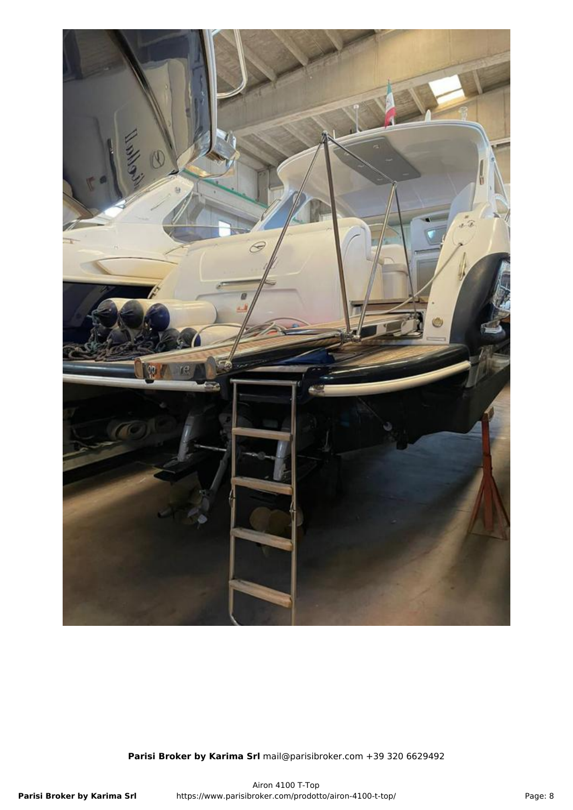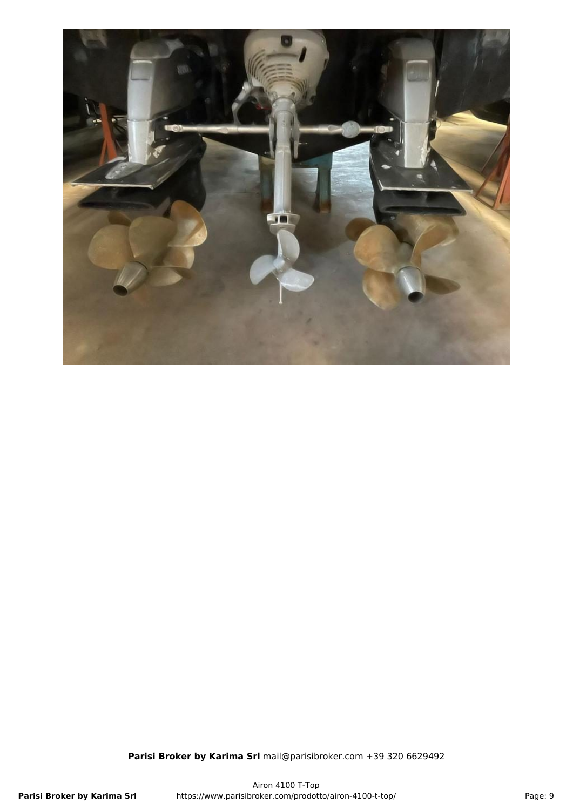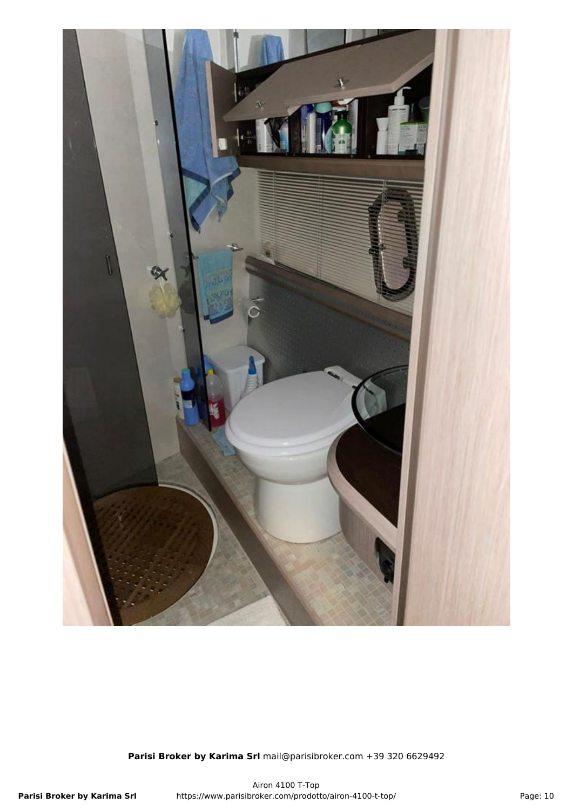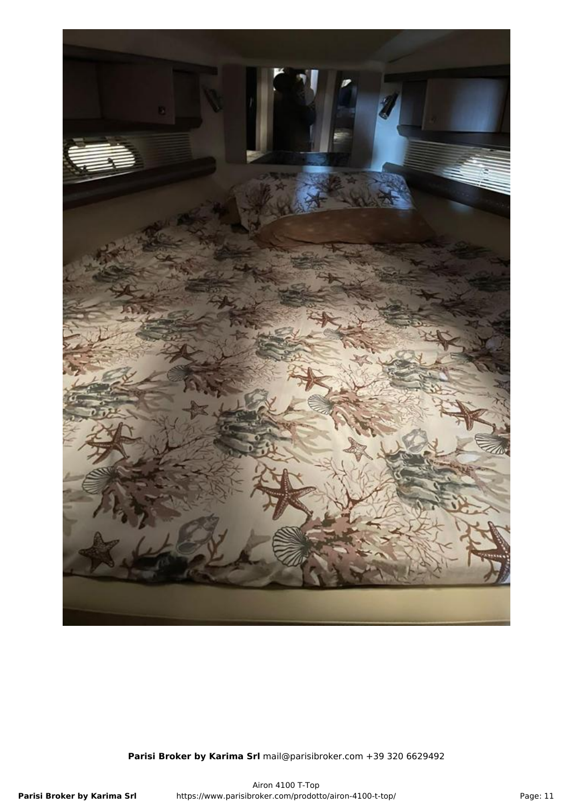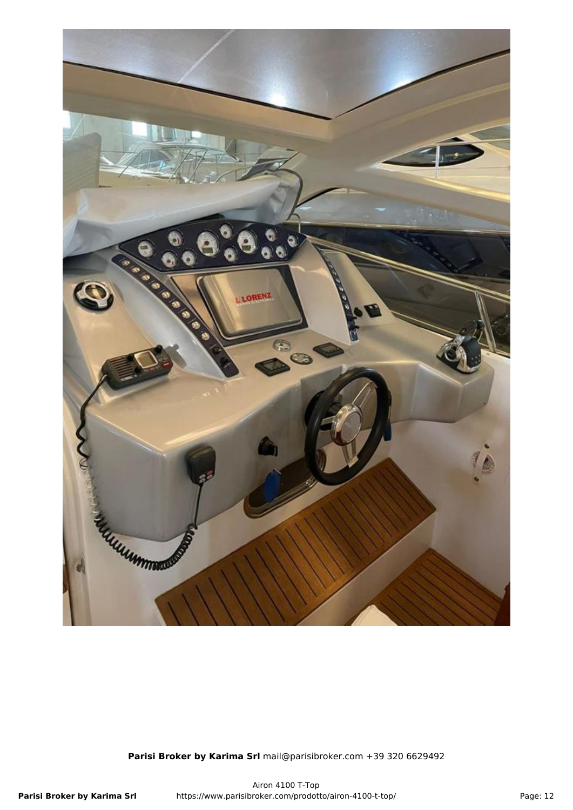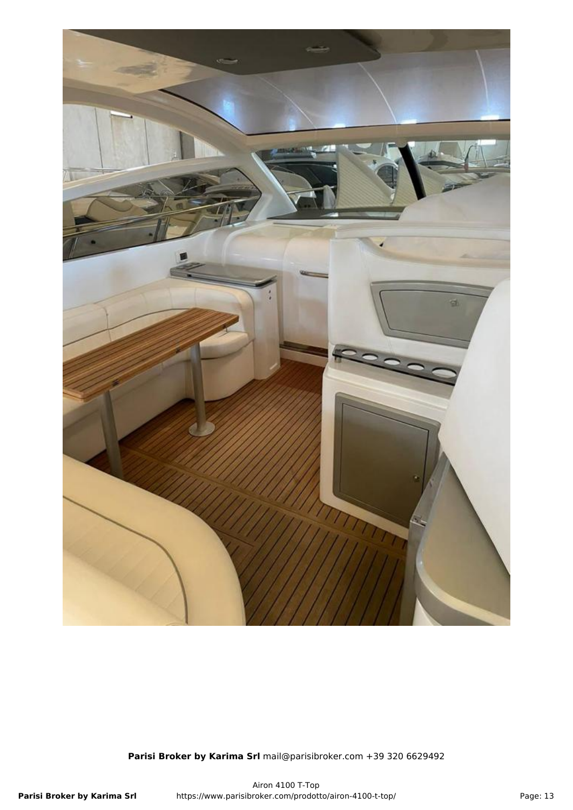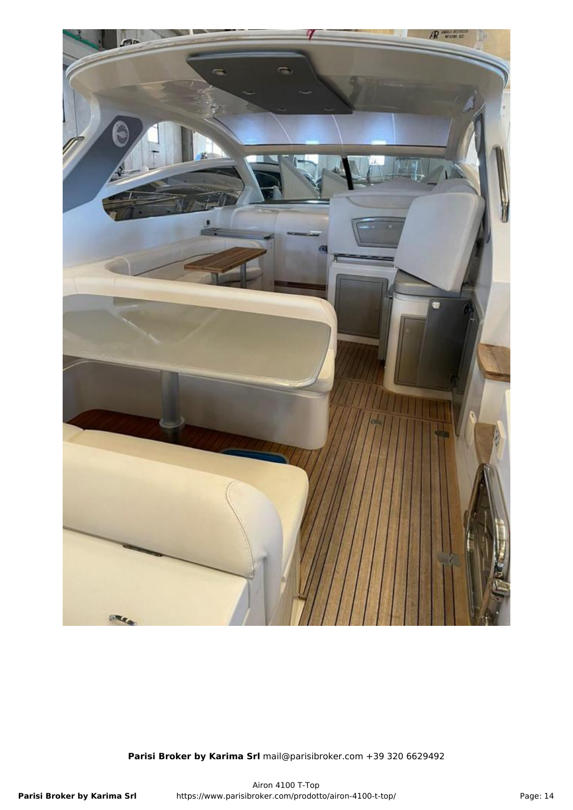